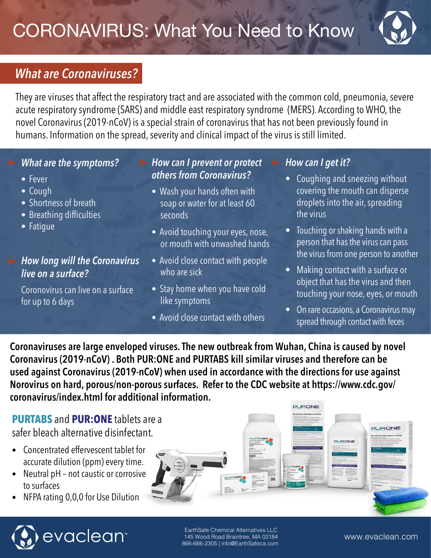# CORONAVIRUS: What You Need to Know



## *What are Coronaviruses?*

They are viruses that affect the respiratory tract and are associated with the common cold, pneumonia, severe acute respiratory syndrome (SARS) and middle east respiratory syndrome (MERS). According to WHO, the novel Coronavirus (2019-nCoV) is a special strain of coronavirus that has not been previously found in humans. Information on the spread, severity and clinical impact of the virus is still limited.

#### *What are the symptoms?*

- Fever
- Cough
- Shortness of breath
- Breathing difficulties
- Fatigue

### *How long will the Coronavirus live on a surface?*

Coronovirus can live on a surface for up to 6 days

#### *How can I prevent or protect others from Coronavirus?*

- Wash your hands often with soap or water for at least 60 seconds
- Avoid touching your eyes, nose, or mouth with unwashed hands
- Avoid close contact with people who are sick
- Stay home when you have cold like symptoms
- Avoid close contact with others

### *How can I get it?*

- Coughing and sneezing without covering the mouth can disperse droplets into the air, spreading the virus
- Touching or shaking hands with a person that has the virus can pass the virus from one person to another
- Making contact with a surface or object that has the virus and then touching your nose, eyes, or mouth
- On rare occasions, a Coronavirus may spread through contact with feces

**Coronaviruses are large enveloped viruses. The new outbreak from Wuhan, China is caused by novel Coronavirus (2019-nCoV) . Both PUR:ONE and PURTABS kill similar viruses and therefore can be used against Coronavirus (2019-nCoV) when used in accordance with the directions for use against Norovirus on hard, porous/non-porous surfaces. Refer to the CDC website at https://www.cdc.gov/ coronavirus/index.html for additional information.** PURONE

**PURTABS** and **PUR:ONE** tablets are a safer bleach alternative disinfectant.

- Concentrated effervescent tablet for accurate dilution (ppm) every time.
- Neutral pH not caustic or corrosive to surfaces

evaclean<sup>®</sup>

• NFPA rating 0,0,0 for Use Dilution



**PURONE**